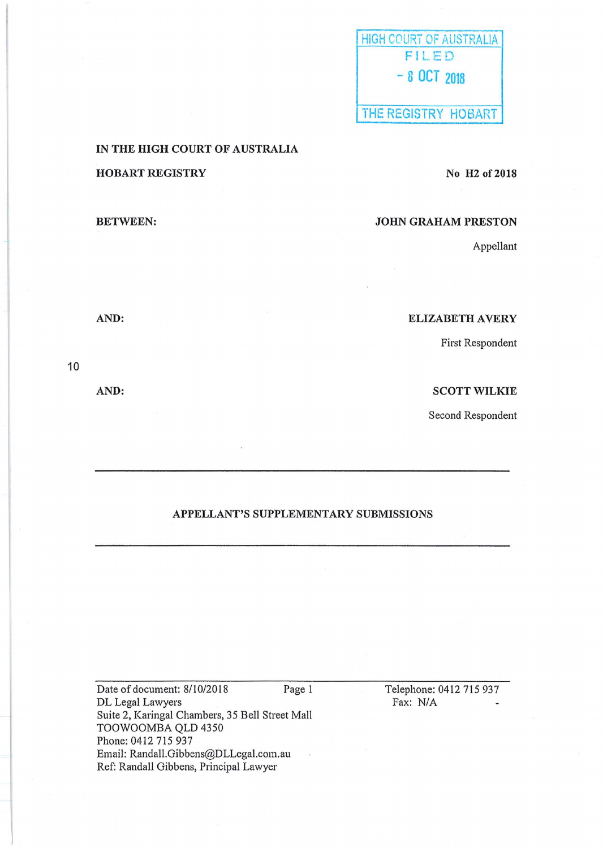| HIGH COURT OF AUSTRALIA |
|-------------------------|
| FILED                   |
| $-8$ OCT 2018           |
|                         |
| THE REGISTRY HOBART     |

IN THE HIGH COURT OF AUSTRALIA HOBART REGISTRY

No H<sub>2</sub> of 2018

### BETWEEN:

JOHN GRAHAM PRESTON

Appellant

AND:

ELIZABETH AVERY

First Respondent

SCOTT WILKIE

Second Respondent

# APPELLANT'S SUPPLEMENTARY SUBMISSIONS

Date of document: 8/10/2018 Page 1 DL Legal Lawyers Suite 2, Karingal Chambers, 35 Bell Street Mall TOOWOOMBA QLD 4350 Phone: 0412 715 937 Email: Randall.Gibbens@DLLegal.com.au  $\bar{\phantom{a}}$ Ref: Randall Gibbens, Principal Lawyer

Telephone: 0412 715 937 Fax: N/A

10

AND: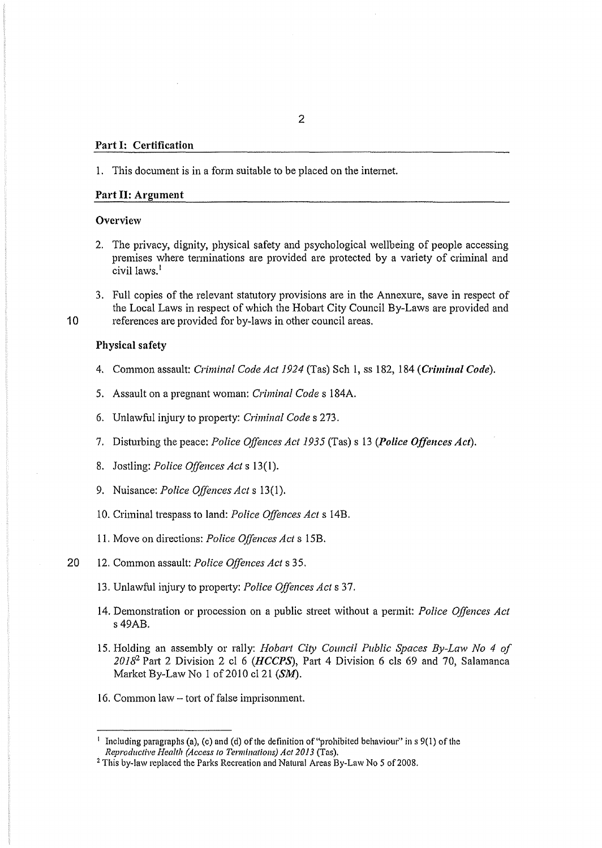#### Part 1: Certification

#### 1. This document is in a form suitable to be placed on the intemet.

## Part II: Argument

### Overview

- 2. The privacy, dignity, physical safety and psychological wellbeing of people accessing premises where terminations are provided are protected by a variety of criminal and civil laws.<sup>1</sup>
- 3. Full copies of the relevant statutory provisions are in the Annexure, save in respect of the Local Laws in respect of which the Hobart City Council By-Laws are provided and 10 references are provided for by-laws in other council areas.

#### Physical safety

- 4. Common assault: *Criminal Code Act 1924* (Tas) Sch 1, ss 182, 184 *(Criminal Code).*
- 5. Assault on a pregnant woman: *Criminal Codes* 184A.
- 6. Unlawful injury to property: *Criminal Codes* 273.
- 7. Disturbing the peace: *Police Offences Act 1935* (Tas) s 13 *(Police Offences Act).*
- 8. Jostling: *Police Offences Acts* 13(1).
- 9. Nuisance: *Police Offences Acts* 13(1).
- 10. Criminal trespass to land: *Police Offences Act s* 14B.
- 11. Move on directions: *Police Offences Acts* 15B.
- 20 12. Common assault: *Police Offences Acts* 35.
	- 13. Unlawful injury to property: *Police Offences Act* s 37.
	- 14. Demonstration or procession on a public street without a permit: *Police Offences Act*  s49AB.
	- 15. Holding an assembly or rally: *Hobart City Council Public Spaces By-Law No 4 of*  2018<sup>2</sup> Part 2 Division 2 cl 6 *(HCCPS*), Part 4 Division 6 cls 69 and 70, Salamanca Market By-Law No 1 of 2010 cl 21 (SM).
	- 16. Common law tort of false imprisonment.

<sup>&</sup>lt;sup>1</sup> Including paragraphs (a), (c) and (d) of the definition of "prohibited behaviour" in s 9(1) of the *Reproductive Health (Access to Terminations) Act 2013* (Tas).

<sup>2</sup> This by-law replaced the Parks Recreation and Natural Areas By-Law No *5* of2008.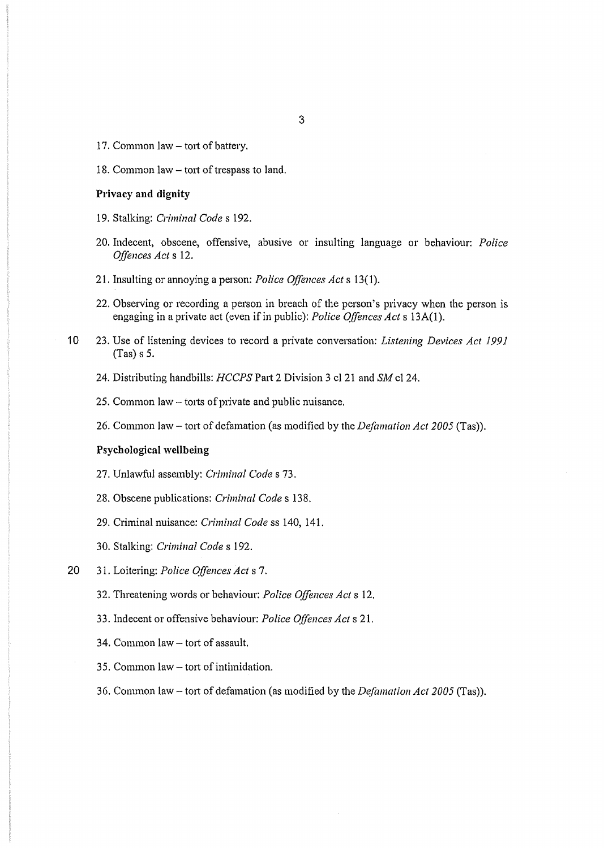- 17. Common law- tort of battery.
- 18. Common law tort of trespass to land.

### **Privacy and dignity**

- 19. Stalking: *Criminal Code* s 192.
- 20. Indecent, obscene, offensive, abusive or insulting language or behaviour: *Police Offences Acts* 12.
- 21. Insulting or annoying a person: *Police Offences Acts* 13(1).
- 22. Observing or recording a person in breach of the person's privacy when the person is engaging in a private act (even if in public): *Police Offences Acts* 13A(l).
- 10 23. Use of listening devices to record a private conversation: *Listening Devices Act 1991*  (Tas) s 5.
	- 24. Distributing handbills: *HCCPS* Part 2 Division 3 cl 21 and *SM* cl 24.
	- 25. Common law  $-$  torts of private and public nuisance.
	- 26. Common law- t01t of defamation (as modified by the *Defamation Act 2005* (Tas)).

## **Psychological wellbeing**

- 27. Unlawful assembly: *Criminal Codes* 73.
- 28. Obscene publications: *Criminal Codes* 138.
- 29. Criminal nuisance: *Criminal Code* ss 140, 141.
- 30. Stalking: *Criminal Code* s 192.
- 20 31. Loitering: *Police Qffences Act* s 7.
	- 32. Threatening words or behaviour: *Police Offences Acts* 12.
	- 33. Indecent or offensive behaviour: *Police Offences Acts* 21.
	- 34. Common law tort of assault.
	- 35. Common law tort of intimidation.
	- 36. Common law- t01t of defamation (as modified by the *Defamation Act 2005* (Tas)).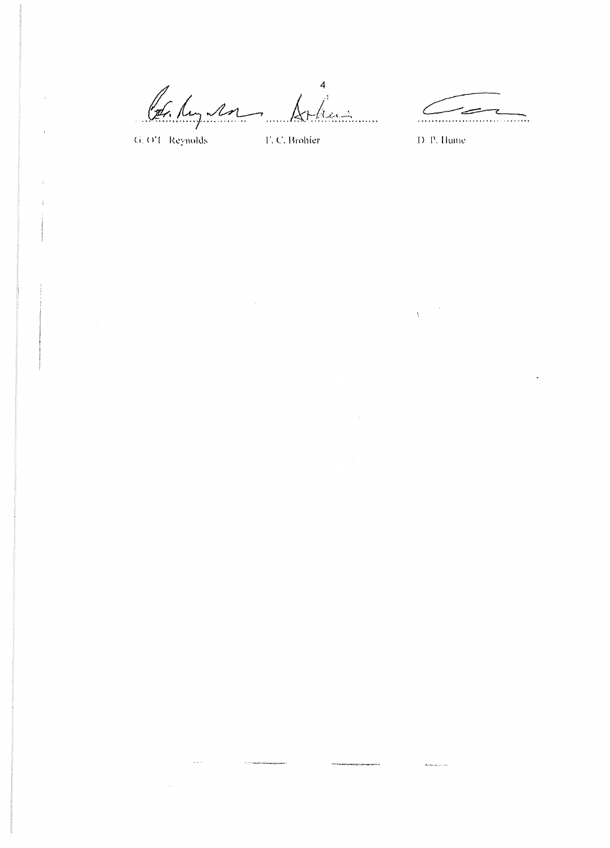$\overline{4}$ St. Lug 12 Cote Reynolds E.C. Brohier D. P. Hume hain

 $\zeta$ 

 $\label{eq:1} \frac{1}{\Lambda_{\rm{eff}}}\left(\frac{1}{\Lambda_{\rm{eff}}}\right)$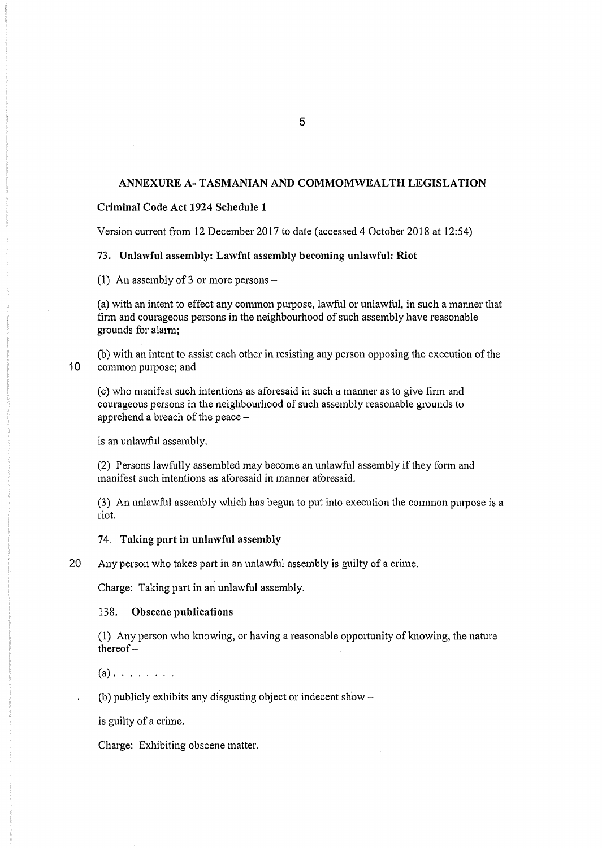## ANNEXURE A- TASMANIAN AND COMMOMWEALTH LEGISLATION

### Criminal Code Act 1924 Schedule 1

Version current from 12 December 2017 to date (accessed 4 October 2018 at 12:54)

#### 73. Unlawful assembly: Lawful assembly becoming unlawful: Riot

(1) An assembly of 3 or more persons  $-$ 

(a) with an intent to effect any common purpose, lawful or unlawful, in such a manner that finn and courageous persons in the neighbourhood of such assembly have reasonable grounds for alarm:

(b) with an intent to assist each other in resisting any person opposing the execution of the 10 common purpose; and

(c) who manifest such intentions as aforesaid in such a manner as to give firm and courageous persons in the neighbourhood of such assembly reasonable grounds to apprehend a breach of the peace-

is an unlawful assembly.

(2) Persons lawfully assembled may become an unlawful assembly if they fonn and manifest such intentions as aforesaid in manner aforesaid.

(3) An unlawful assembly which has begun to put into execution the common purpose is a riot.

### 74. Taking part in unlawful assembly

20 Any person who takes patt in an unlawful assembly is guilty of a crime.

Charge: Taking part in an unlawful assembly.

### 138. Obscene publications

 $(1)$  Any person who knowing, or having a reasonable opportunity of knowing, the nature thereof-

 $(a)$ . . . . . . . .

(b) publicly exhibits any disgusting object or indecent show  $-$ 

is guilty of a crime.

Charge: Exhibiting obscene matter.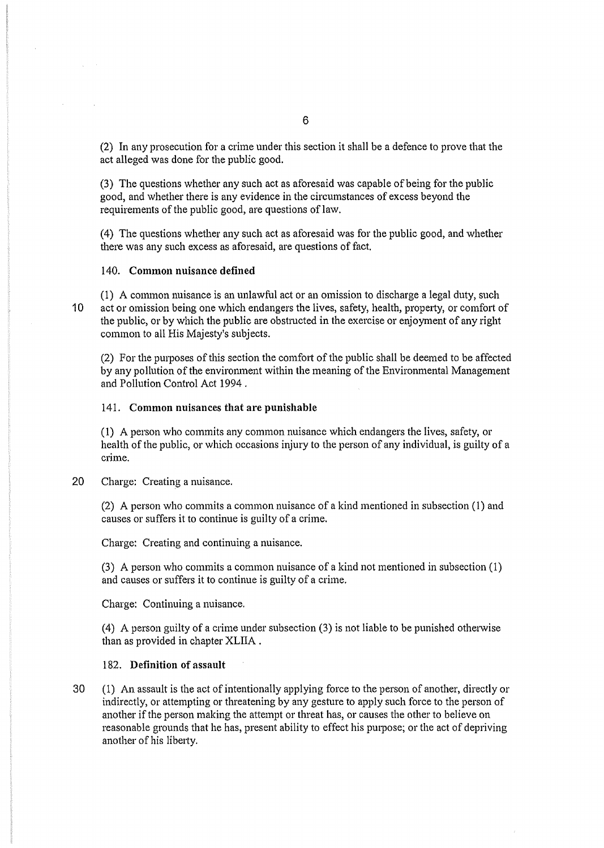(2) In any prosecution for a crime under this section it shall be a defence to prove that the act alleged was done for the public good.

(3) The questions whether any such act as aforesaid was capable of being for the public good, and whether there is any evidence in the circumstances of excess beyond the requirements of the public good, are questions of law.

( 4) The questions whether any such act as aforesaid was for the public good, and whether there was any such excess as aforesaid, are questions of fact.

## 140. Common nuisance defined

 $\sim$   $\sim$ 

(1) A cmmnon nuisance is an unlawful act or an omission to discharge a legal duty, such 10 act or omission being one which endangers the lives, safety, health, property, or comfort of the public, or by which the public are obstmcted in the exercise or enjoyment of any right common to all His Majesty's subjects.

(2) For the purposes of this section the comfort of the public shall be deemed to be affected by any pollution of the environment within the meaning of the Environmental Management and Pollution Control Act 1994 .

### 141. Common nuisances that are punishable

(1) A person who commits any common nuisance which endangers the lives, safety, or health of the public, or which occasions injury to the person of any individual, is guilty of a crime.

## 20 Charge: Creating a nuisance.

(2) A person who commits a common nuisance of a kind mentioned in subsection ( 1) and causes or suffers it to continue is guilty of a crime.

Charge: Creating and continuing a nuisance.

(3) A person who commits a common nuisance of a kind not mentioned in subsection (1) and causes or suffers it to continue is guilty of a crime.

Charge: Continuing a nuisance.

(4) A person guilty of a crime under subsection  $(3)$  is not liable to be punished otherwise than as provided in chapter XLIIA .

#### 182. Definition of assault

30 ( 1) An assault is the act of intentionally applying force to the person of another, directly or indirectly, or attempting or threatening by any gesture to apply such force to the person of another if the person making the attempt or threat has, or causes the other to believe on reasonable grounds that he has, present ability to effect his purpose; or the act of depriving another of his liberty.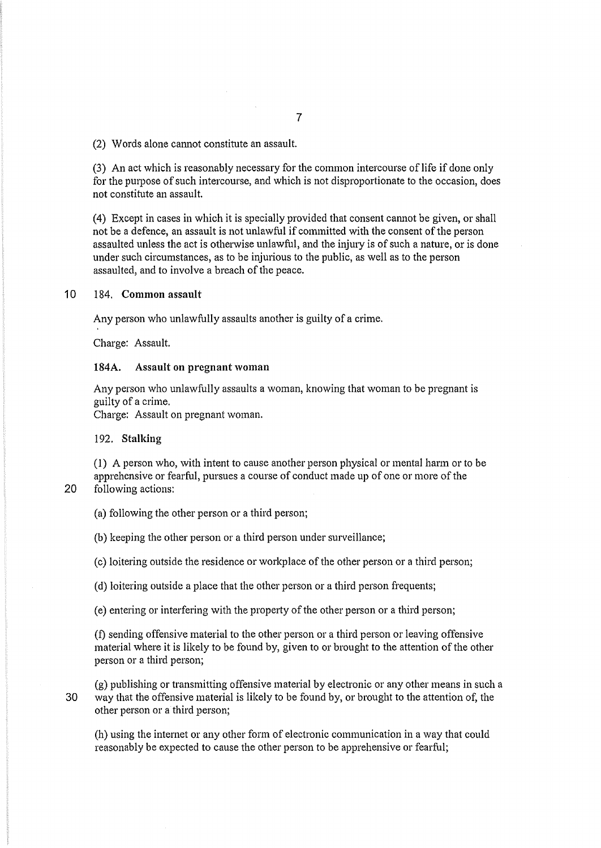(2) Words alone cannot constitute an assault.

(3) An act which is reasonably necessary for the common intercourse of life if done only for the purpose of such intercourse, and which is not disproportionate to the occasion, does not constitute an assault.

(4) Except in cases in which it is specially provided that consent cannot be given, or shall not be a defence, an assault is not unlawful if committed with the consent of the person assaulted unless the act is otherwise unlawful, and the injury is of such a nature, or is done under such circumstances, as to be injurious to the public, as well as to the person assaulted, and to involve a breach of the peace.

## 10 184. Common assault

Any person who unlawfully assaults another is guilty of a crime.

Charge: Assault.

#### 184A. Assault on pregnant woman

Any person who unlawfully assaults a woman, knowing that woman to be pregnant is guilty of a crime.

Charge: Assault on pregnant woman.

#### 192. Stalking

( 1) A person who, with intent to cause another person physical or mental harm or to be apprehensive or fearful, pursues a course of conduct made up of one or more of the 20 following actions:

(a) following the other person or a third person;

(b) keeping the other person or a third person under surveillance;

(c) loitering outside the residence or workplace of the other person or a third person;

(d) loitering outside a place that the other person or a third person frequents;

(e) entering or interfering with the property of the other person or a third person;

(f) sending offensive material to the other person or a third person or leaving offensive material where it is likely to be found by, given to or brought to the attention of the other person or a third person;

(g) publishing or transmitting offensive material by electronic or any other means in such a 30 way that the offensive material is likely to be found by, or brought to the attention of, the other person or a third person;

(h) using the intemet or any other form of electronic communication in a way that could reasonably be expected to cause the other person to be apprehensive or fearful;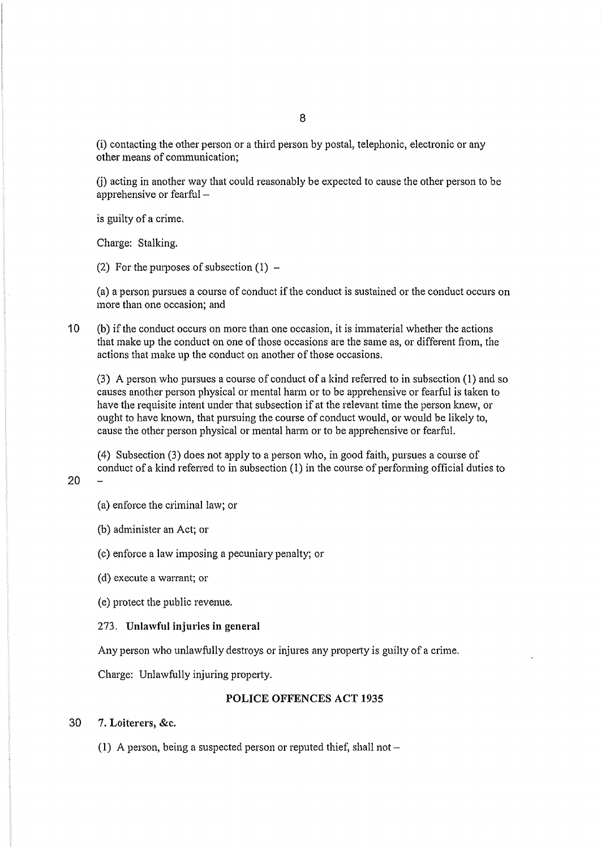(i) contacting the other person or a third person by postal, telephonic, electronic or any other means of communication;

G) acting in another way that could reasonably be expected to cause the other person to be apprehensive or fearful -

is guilty of a crime.

Charge: Stalking.

(2) For the purposes of subsection  $(1)$  –

(a) a person pursues a course of conduct if the conduct is sustained or the conduct occurs on more than one occasion; and

1 0 (b) if the conduct occurs on more than one occasion, it is immaterial whether the actions that make up the conduct on one of those occasions are the same as, or different from, the actions that make up the conduct on another of those occasions.

(3) A person who pursues a course of conduct of a kind referred to in subsection ( 1) and so causes another person physical or mental hann or to be apprehensive or fearful is taken to have the requisite intent under that subsection if at the relevant time the person knew, or ought to have known, that pursuing the course of conduct would, or would be likely to, cause the other person physical or mental harm or to be apprehensive or fearful.

(4) Subsection (3) does not apply to a person who, in good faith, pursues a course of conduct of a kind referred to in subsection  $(1)$  in the course of performing official duties to

(a) enforce the criminal law; or

(b) administer an Act; or

20

(c) enforce a law imposing a pecuniary penalty; or

(d) execute a warrant; or

(e) protect the public revenue.

273. Unlawful injuries in general

Any person who unlawfully destroys or injures any propetty is guilty of a crime.

Charge: Unlawfully injuring property.

### POLICE OFFENCES ACT 1935

### 30 7. Loiterers, &c.

(1) A person, being a suspected person or reputed thief, shall not  $-$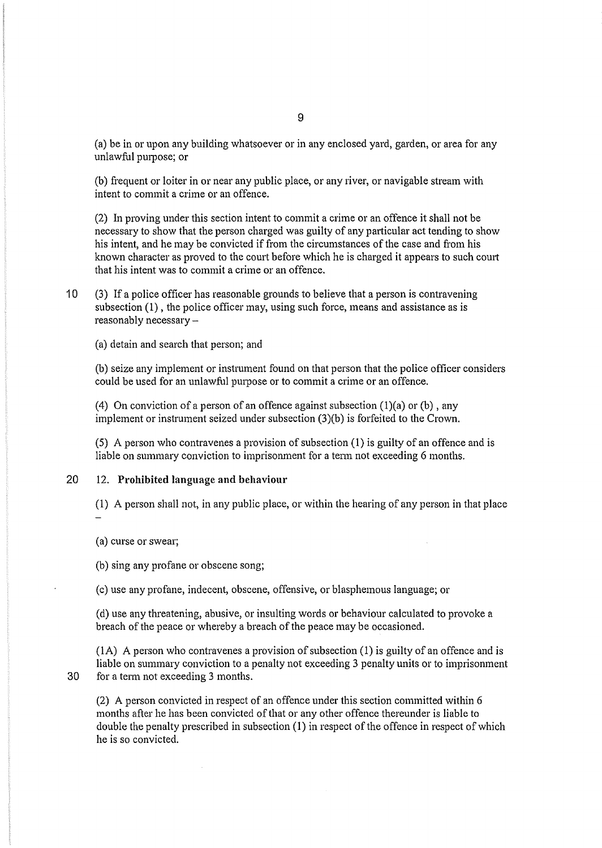(a) be in or upon any building whatsoever or in any enclosed yard, garden, or area for any unlawful purpose; or

(b) frequent or loiter in or near any public place, or any river, or navigable stream with intent to commit a crime or an offence.

(2) In proving under this section intent to commit a crime or an offence it shall not be necessary to show that the person charged was guilty of any particular act tending to show his intent, and he may be convicted if from the circumstances of the case and from his known character as proved to the court before which he is charged it appears to such court that his intent was to commit a crime or an offence.

10 (3) If a police officer has reasonable grounds to believe that a person is contravening subsection (1), the police officer may, using such force, means and assistance as is reasonably necessary-

(a) detain and search that person; and

(b) seize any implement or insttument found on that person that the police officer considers could be used for an unlawful purpose or to commit a crime or an offence.

(4) On conviction of a person of an offence against subsection  $(1)(a)$  or  $(b)$ , any implement or instrument seized under subsection (3)(b) is forfeited to the Crown.

(5) A person who contravenes a provision of subsection (1) is guilty of an offence and is liable on summary conviction to imprisonment for a tenn not exceeding 6 months.

## 20 12. Prohibited language and behaviour

(1) A person shall not, in any public place, or within the hearing of any person in that place

(a) curse or swear;

(b) sing any profane or obscene song;

(c) use any profane, indecent, obscene, offensive, or blasphemous language; or

(d) use any threatening, abusive, or insulting words or behaviour calculated to provoke a breach of the peace or whereby a breach of the peace may be occasioned.

 $(1A)$  A person who contravenes a provision of subsection  $(1)$  is guilty of an offence and is liable on summary conviction to a penalty not exceeding 3 penalty units or to imprisonment 30 for a term not exceeding 3 months.

(2) A person convicted in respect of an offence under this section committed within 6 months after he has been convicted of that or any other offence thereunder is liable to double the penalty prescribed in subsection (1) in respect of the offence in respect of which he is so convicted.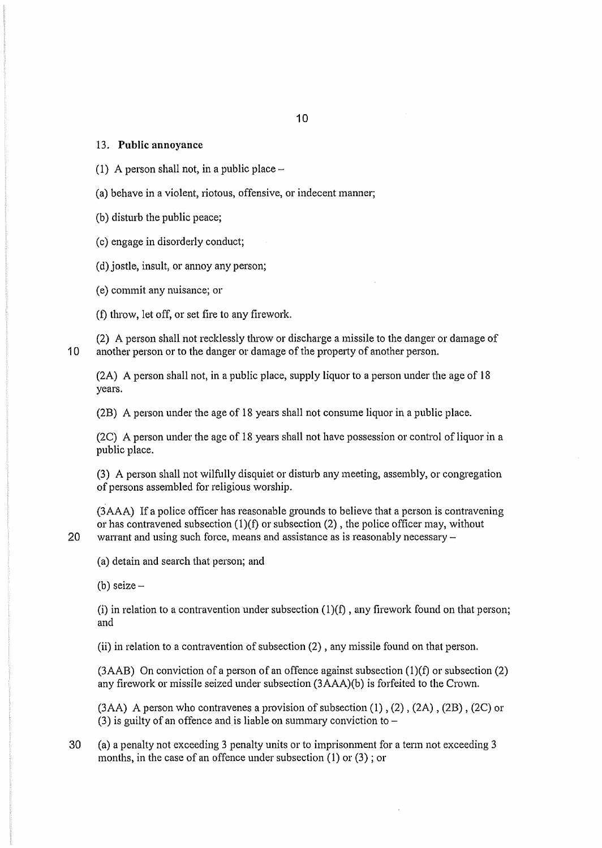#### 13. **Public annoyance**

- **(1)** A person shall not, in a public place-
- (a) behave in a violent, riotous, offensive, or indecent manner;
- (b) disturb the public peace;
- (c) engage in disorderly conduct;
- (d) jostle, insult, or annoy any person;
- (e) commit any nuisance; or
- (f) throw, let off, or set fire to any firework.

(2) A person shall not recklessly throw or discharge a missile to the danger or damage of 10 another person or to the danger or damage of the property of another person.

(2A) A person shall not, in a public place, supply liquor to a person under the age of 18 years.

(2B) A person under the age of 18 years shall not consume liquor in a public place.

(2C) A person under the age of 18 years shall not have possession or control of liquor in a public place.

(3) A person shall not wilfully disquiet or disturb any meeting, assembly, or congregation of persons assembled for religious worship.

(3AAA) If a police officer has reasonable grounds to believe that a person is contravening or has contravened subsection  $(1)(f)$  or subsection  $(2)$ , the police officer may, without 20 warrant and using such force, means and assistance as is reasonably necessary  $-$ 

(a) detain and search that person; and

(b) seize  $-$ 

(i) in relation to a contravention under subsection  $(1)(f)$ , any firework found on that person; and

(ii) in relation to a contravention of subsection (2) , any missile found on that person.

(3AAB) On conviction of a person of an offence against subsection  $(1)(f)$  or subsection  $(2)$ any firework or missile seized under subsection (3AAA)(b) is forfeited to the Crown.

(3AA) A person who contravenes a provision of subsection (1), (2), (2A), (2B), (2C) or (3) is guilty of an offence and is liable on summary conviction to  $-$ 

30 (a) a penalty not exceeding 3 penalty units or to imprisonment for a tenn not exceeding 3 months, in the case of an offence under subsection (1) or (3) ; or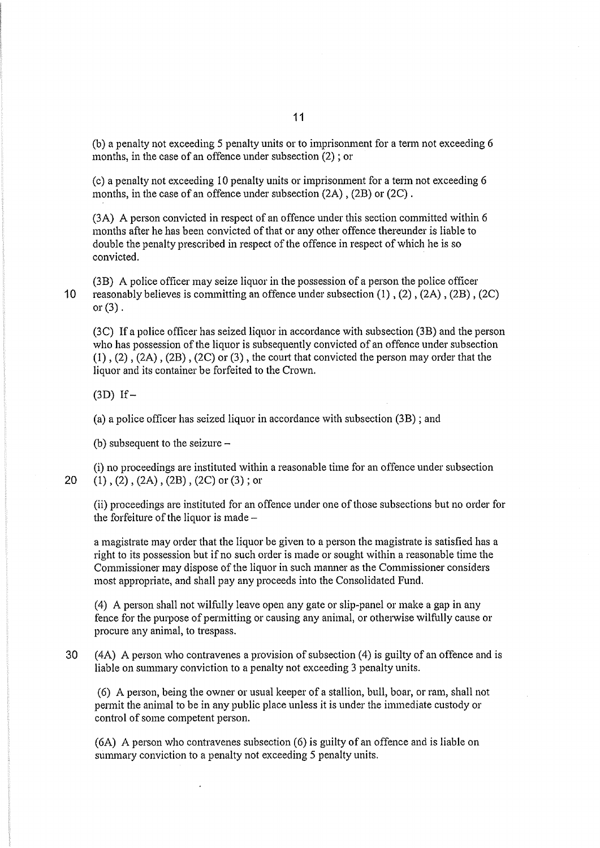(b) a penalty not exceeding 5 penalty units or to imprisonment for a term not exceeding 6 months, in the case of an offence under subsection (2) ; or

 $(c)$  a penalty not exceeding 10 penalty units or imprisonment for a term not exceeding 6 months, in the case of an offence under subsection (2A) , (2B) or (2C) .

(3A) A person convicted in respect of an offence under this section committed within 6 months after he has been convicted of that or any other offence thereunder is liable to double the penalty prescribed in respect of the offence in respect of which he is so convicted.

(3B) A police officer may seize liquor in the possession of a person the police officer 10 reasonably believes is committing an offence under subsection (1) , (2) , (2A) , (2B) , (2C) or  $(3)$ .

(3C) If a police officer has seized liquor in accordance with subsection (3B) and the person who has possession of the liquor is subsequently convicted of an offence under subsection (1), (2), (2A), (2B), (2C) or (3), the court that convicted the person may order that the liquor and its container be forfeited to the Crown.

 $(3D)$  If-

(a) a police officer has seized liquor in accordance with subsection (3B) ; and

(b) subsequent to the seizure  $-$ 

(i) no proceedings are instituted within a reasonable time for an offence under subsection 20  $(1)$ ,  $(2)$ ,  $(2A)$ ,  $(2B)$ ,  $(2C)$  or  $(3)$ ; or

(ii) proceedings are instituted for an offence under one of those subsections but no order for the forfeiture of the liquor is made-

a magistrate may order that the liquor be given to a person the magistrate is satisfied has a right to its possession but if no such order is made or sought within a reasonable time the Commissioner may dispose of the liquor in such manner as the Commissioner considers most appropriate, and shall pay any proceeds into the Consolidated Fund.

(4) A person shall not wilfully leave open any gate or slip-panel or make a gap in any fence for the purpose of permitting or causing any animal, or otherwise wilfully cause or procure any animal, to trespass.

30 ( 4A) A person who contravenes a provision of subsection ( 4) is guilty of an offence and is liable on summary conviction to a penalty not exceeding 3 penalty units.

(6) A person, being the owner or usual keeper of a stallion, bull, boar, or ram, shall not pennit the animal to be in any public place unless it is under the immediate custody or control of some competent person.

(6A) A person who contravenes subsection (6) is guilty of an offence and is liable on summary conviction to a penalty not exceeding 5 penalty units.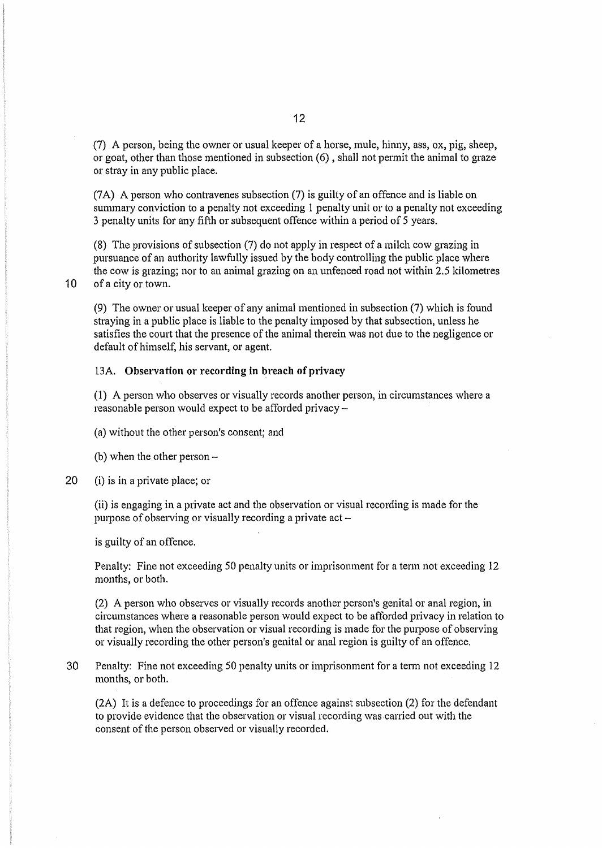(7) A person, being the owner or usual keeper of a horse, mule, hinny, ass, ox, pig, sheep, or goat, other than those mentioned in subsection (6), shall not permit the animal to graze or stray in any public place.

(7A) A person who contravenes subsection (7) is guilty of an offence and is liable on summary conviction to a penalty not exceeding I penalty unit or to a penalty not exceeding 3 penalty units for any fifth or subsequent offence within a period of 5 years.

(8) The provisions of subsection (7) do not apply in respect of a milch cow grazing in pursuance of an authority lawfully issued by the body controlling the public place where the cow is grazing; nor to an animal grazing on an unfenced road not within 2.5 kilometres 10 of a city or town.

(9) The owner or usual keeper of any animal mentioned in subsection (7) which is found straying in a public place is liable to the penalty imposed by that subsection, unless he satisfies the court that the presence of the animal therein was not due to the negligence or default of himself, his servant, or agent.

### 13A. Observation or recording in breach of privacy

(1) A person who observes or visually records another person, in circumstances where a reasonable person would expect to be afforded privacy -

(a) without the other person's consent; and

(b) when the other person-

20 (i) is in a private place; or

(ii) is engaging in a private act and the observation or visual recording is made for the purpose of observing or visually recording a private  $act$ -

is guilty of an offence.

Penalty: Fine not exceeding 50 penalty units or imprisonment for a tenn not exceeding 12 months, or both.

(2) A person who observes or visually records another person's genital or anal region, in circumstances where a reasonable person would expect to be afforded privacy in relation to that region, when the observation or visual recording is made for the purpose of observing or visually recording the other person's genital or anal region is guilty of an offence.

30 Penalty: Fine not exceeding 50 penalty units or imprisonment for a tenn not exceeding 12 months, or both.

(2A) It is a defence to proceedings for an offence against subsection (2) for the defendant to provide evidence that the observation or visual recording was carried out with the consent of the person observed or visually recorded.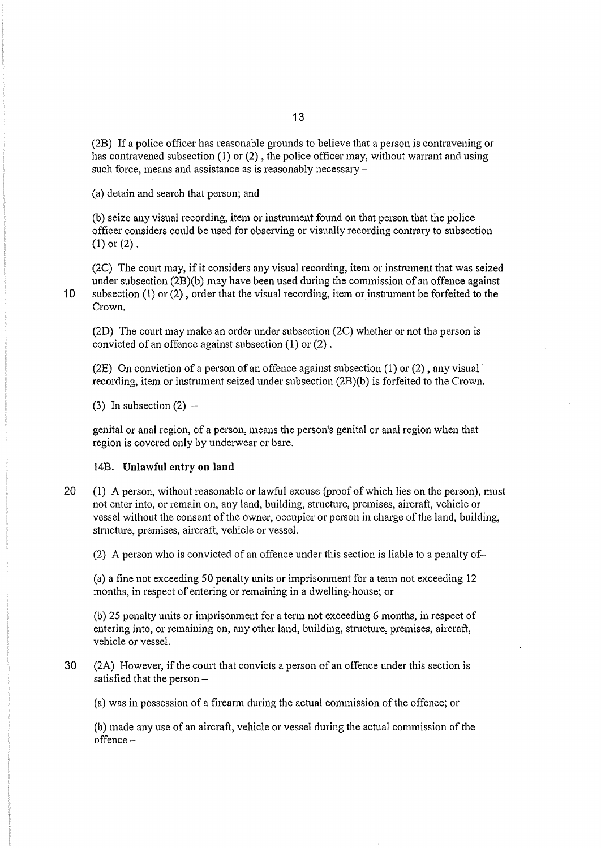(2B) If a police officer has reasonable grounds to believe that a person is contravening or has contravened subsection  $(1)$  or  $(2)$ , the police officer may, without warrant and using such force, means and assistance as is reasonably necessary -

(a) detain and search that person; and

(b) seize any visual recording, item or instrument found on that person that the police officer considers could be used for observing or visually recording contrary to subsection **(1)** or (2).

(2C) The court may, if it considers any visual recording, item or inshument that was seized under subsection (2B)(b) may have been used during the commission of an offence against 10 subsection (1) or (2), order that the visual recording, item or insttument be forfeited to the Crown.

(2D) The court may make an order under subsection (2C) whether or not the person is convicted of an offence against subsection ( 1) or (2) .

(2E) On conviction of a person of an offence against subsection  $(1)$  or  $(2)$ , any visual recording, item or instrument seized under subsection (2B)(b) is forfeited to the Crown.

(3) In subsection  $(2)$  –

genital or anal region, of a person, means the person's genital or anal region when that region is covered only by underwear or bare.

#### 14B. **Unlawful entry on land**

20 (1) A person, without reasonable or lawful excuse (proof of which lies on the person), must not enter into, or remain on, any land, building, structure, premises, aircraft, vehicle or vessel without the consent of the owner, occupier or person in charge of the land, building, structure, premises, aircraft, vehicle or vessel.

(2) A person who is convicted of an offence under this section is liable to a penalty of-

(a) a fine not exceeding 50 penalty units or imprisomnent for a tenn not exceeding 12 months, in respect of entering or remaining in a dwelling-house; or

(b) 25 penalty units or imprisonment for a term not exceeding 6 months, in respect of entering into, or remaining on, any other land, building, structure, premises, aircraft, vehicle or vessel.

30 (2A) However, if the court that convicts a person of an offence under this section is satisfied that the person  $-$ 

(a) was in possession of a firearm during the actual commission of the offence; or

(b) made any use of an aircraft, vehicle or vessel during the actual commission of the offence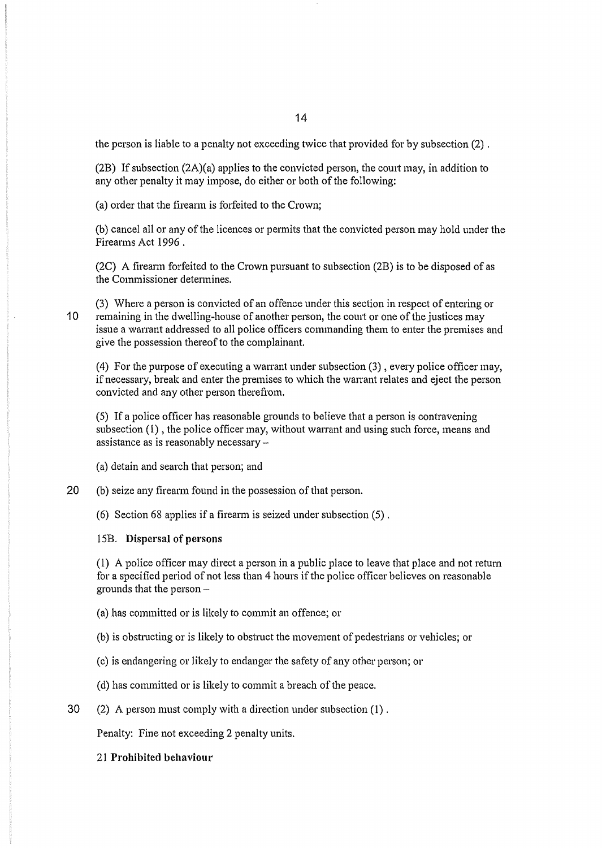the person is liable to a penalty not exceeding twice that provided for by subsection (2) .

(2B) If subsection  $(2A)(a)$  applies to the convicted person, the court may, in addition to any other penalty it may impose, do either or both of the following:

(a) order that the fireann is forfeited to the Crown;

(b) cancel all or any of the licences or permits that the convicted person may hold under the Firearms Act 1996 .

(2C) A firearm forfeited to the Crown pursuant to subsection (2B) is to be disposed of as the Commissioner detennines.

(3) Where a person is convicted of an offence under this section in respect of entering or 10 remaining in the dwelling-house of another person, the court or one of the justices may issue a warrant addressed to all police officers commanding them to enter the premises and give the possession thereof to the complainant.

(4) For the purpose of executing a warrant under subsection  $(3)$ , every police officer may, if necessary, break and enter the premises to which the warrant relates and eject the person convicted and any other person therefrom.

(5) If a police officer has reasonable grounds to believe that a person is contravening subsection  $(1)$ , the police officer may, without warrant and using such force, means and assistance as is reasonably necessary-

(a) detain and search that person; and

20 (b) seize any firearm found in the possession of that person.

(6) Section 68 applies if a firearm is seized under subsection (5) .

#### 15B. Dispersal of persons

(1) A police officer may direct a person in a public place to leave that place and not return for a specified period of not less than 4 hours if the police officer believes on reasonable grounds that the person-

(a) has committed or is likely to commit an offence; or

(b) is obstructing or is likely to obstruct the movement of pedestrians or vehicles; or

(c) is endangering or likely to endanger the safety of any other person; or

(d) has committed or is likely to commit a breach of the peace.

30 (2) A person must comply with a direction under subsection (1).

Penalty: Fine not exceeding 2 penalty units.

21 Prohibited behaviour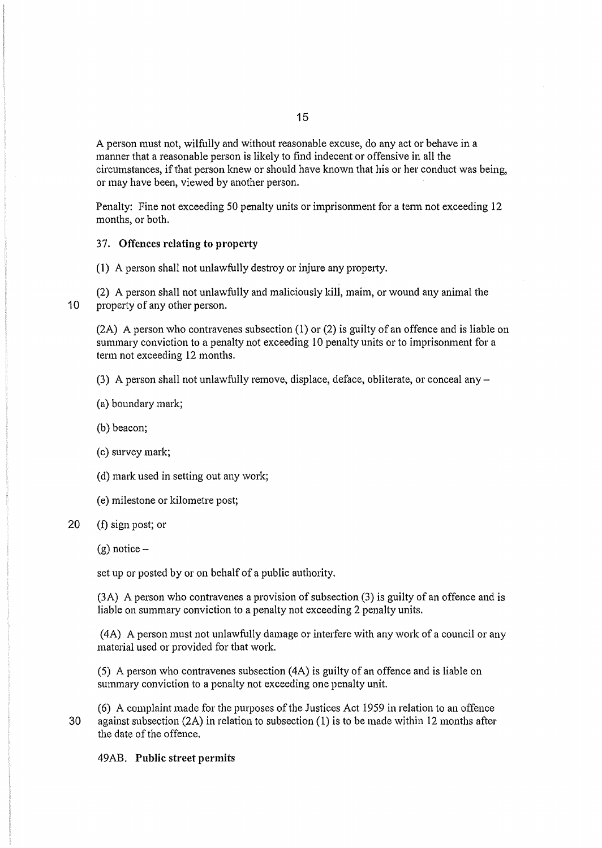A person must not, wilfully and without reasonable excuse, do any act or behave in a manner that a reasonable person is likely to find indecent or offensive in all the circumstances, if that person knew or should have known that his or her conduct was being, or may have been, viewed by another person.

Penalty: Fine not exceeding 50 penalty units or imprisonment for a tenn not exceeding 12 months, or both.

#### 37. **Offences relating to property**

 $(1)$  A person shall not unlawfully destroy or injure any property.

(2) A person shall not unlawfully and maliciously kill, maim, or wound any animal the **10** property of any other person.

(2A) A person who contravenes subsection ( **1)** or (2) is guilty of an offence and is liable on summary conviction to a penalty not exceeding I 0 penalty units or to imprisonment for a term not exceeding 12 months.

(3) A person shall not unlawfully remove, displace, deface, obliterate, or conceal any  $-$ 

- (a) boundary mark;
- (b) beacon;
- (c) survey mark;
- (d) mark used in setting out any work;
- (e) milestone or kilometre post;

## 20 (f) sign post; or

 $(g)$  notice –

set up or posted by or on behalf of a public authority.

(3A) A person who contravenes a provision of subsection (3) is guilty of an offence and is liable on summary conviction to a penalty not exceeding 2 penalty units.

( 4A) A person must not unlawfully damage or interfere with any work of a council or any material used or provided for that work.

(5) A person who contravenes subsection ( 4A) is guilty of an offence and is liable on summary conviction to a penalty not exceeding one penalty unit.

(6) A complaint made for the purposes of the Justices Act 1959 in relation to an offence 30 against subsection (2A) in relation to subsection (1) is to be made within 12 months after the date of the offence.

## 49AB. **Public street permits**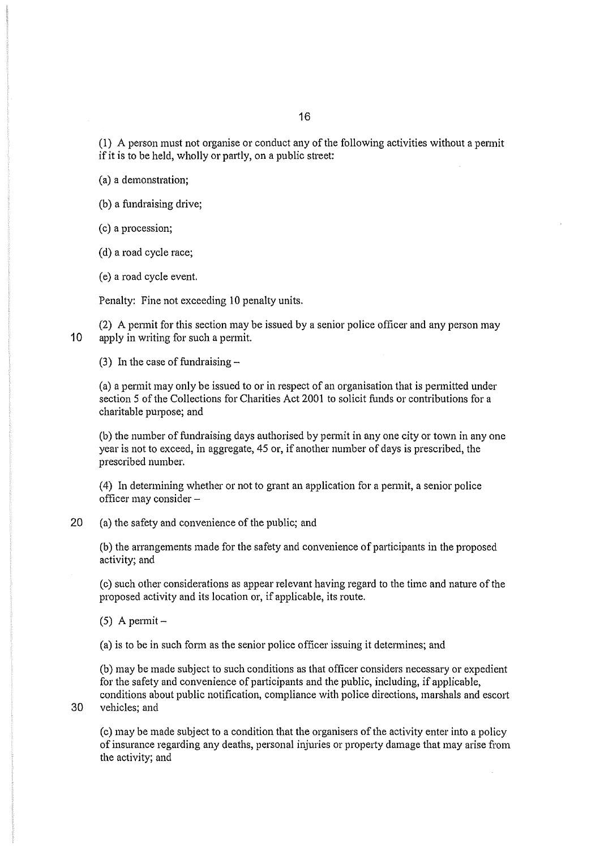(1) A person must not organise or conduct any of the following activities without a pennit if it is to be held, wholly or partly, on a public street:

(a) a demonstration;

(b) a fundraising drive;

(c) a procession;

(d) a road cycle race;

(e) a road cycle event.

Penalty: Fine not exceeding 10 penalty units.

(2) A pennit for this section may be issued by a senior police officer and any person may 10 apply in writing for such a permit.

(3) In the case of fundraising-

(a) a pennit may only be issued to or in respect of an organisation that is pennitted under section 5 of the Collections for Charities Act 2001 to solicit funds or contributions for a charitable purpose; and

(b) the number of fundraising days authorised by permit in any one city or town in any one year is not to exceed, in aggregate, 45 or, if another number of days is prescribed, the prescribed number.

(4) In determining whether or not to grant an application for a permit, a senior police officer may consider-

20 (a) the safety and convenience of the public; and

(b) the arrangements made for the safety and convenience of participants in the proposed activity; and

(c) such other considerations as appear relevant having regard to the time and nature of the proposed activity and its location or, if applicable, its route.

 $(5)$  A permit -

(a) is to be in such form as the senior police officer issuing it determines; and

(b) may be made subject to such conditions as that officer considers necessary or expedient for the safety and convenience of participants and the public, including, if applicable, conditions about public notification, compliance with police directions, marshals and escort 30 vehicles; and

(c) may be made subject to a condition that the organisers of the activity enter into a policy of insurance regarding any deaths, personal injuries or propetty damage that may arise from the activity; and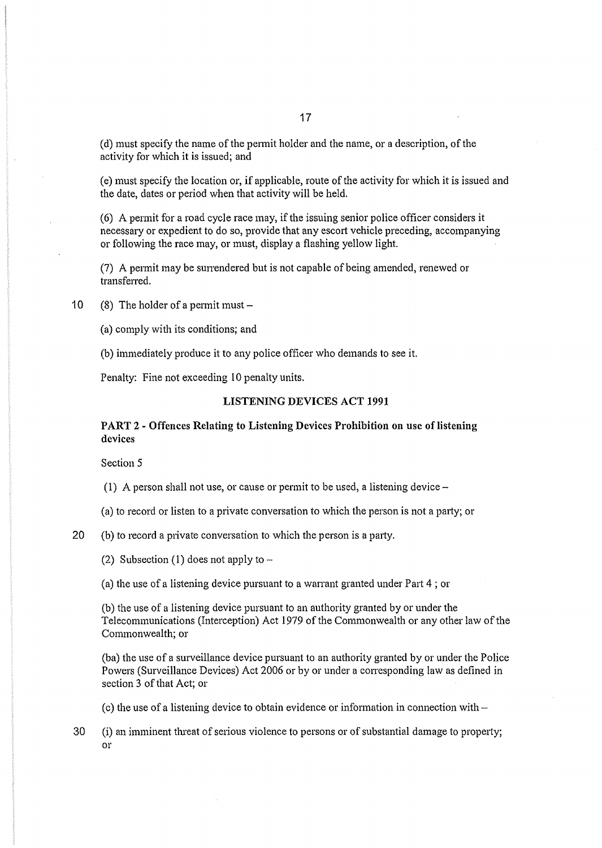(d) must specify the name of the pennit holder and the name, or a description, of the activity for which it is issued; and

(e) must specify the location or, if applicable, route of the activity for which it is issued and the date, dates or period when that activity will be held.

(6) A petmit for a road cycle race may, if the issuing senior police officer considers it necessary or expedient to do so, provide that any escort vehicle preceding, accompanying or following the race may, or must, display a flashing yellow light.

(7) A permit may be surrendered but is not capable of being amended, renewed or transferred.

10 (8) The holder of a permit must  $-$ 

(a) comply with its conditions; and

(b) immediately produce it to any police officer who demands to see it.

Penalty: Fine not exceeding 10 penalty units.

### LISTENING DEVICES ACT 1991

# PART 2 - Offences Relating to Listening Devices Prohibition on use of listening devices

Section 5

(1) A person shall not use, or cause or permit to be used, a listening device-

(a) to record or listen to a private conversation to which the person is not a patty; or

20 (b) to record a private conversation to which the person is a patty.

(2) Subsection (1) does not apply to  $-$ 

(a) the use of a listening device pursuant to a warrant granted under Patt 4; or

(b) the use of a listening device pursuant to an authority granted by or under the Telecommunications (Interception) Act 1979 of the Commonwealth or any other law of the Commonwealth; or

(ba) the use of a surveillance device pursuant to an authority granted by or under the Police Powers (Surveillance Devices) Act 2006 or by or under a corresponding law as defined in section 3 of that Act; or

(c) the use of a listening device to obtain evidence or information in connection with  $-$ 

30 (i) an imminent threat of serious violence to persons or of substantial damage to property; or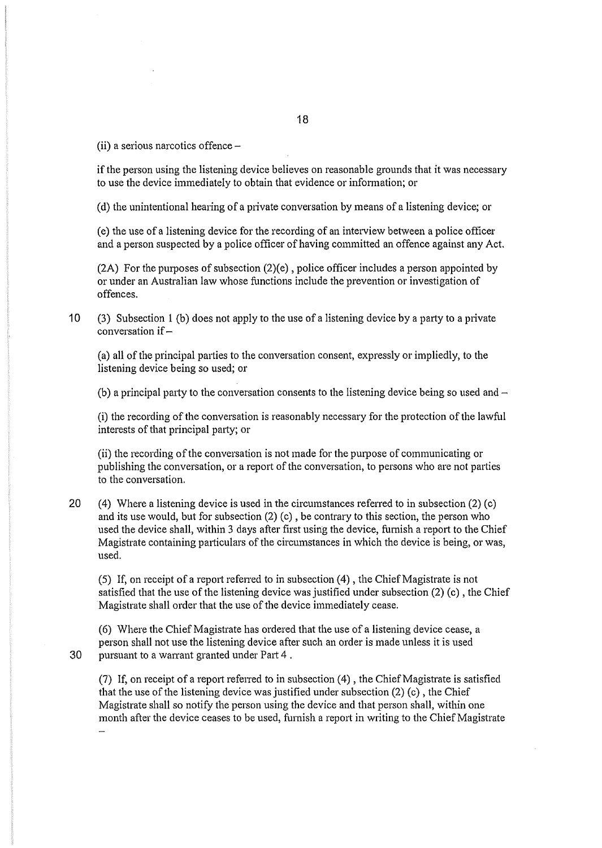(ii) a serious narcotics offence  $-$ 

if the person using the listening device believes on reasonable grounds that it was necessary to use the device immediately to obtain that evidence or information; or

(d) the unintentional hearing of a private conversation by means of a listening device; or

(e) the use of a listening device for the recording of an interview between a police officer and a person suspected by a police officer of having committed an offence against any Act.

(2A) For the purposes of subsection (2)(e), police officer includes a person appointed by or under an Australian law whose functions include the prevention or investigation of offences.

10 (3) Subsection 1 (b) does not apply to the use of a listening device by a party to a private conversation if  $-$ 

(a) all of the principal pmties to the conversation consent, expressly or impliedly, to the listening device being so used; or

(b) a principal party to the conversation consents to the listening device being so used and  $-$ 

(i) the recording of the conversation is reasonably necessary for the protection of the lawful interests of that principal patty; or

(ii) the recording of the conversation is not made for the purpose of communicating or publishing the conversation, or a report of the conversation, to persons who are not patties to the conversation.

20 (4) Where a listening device is used in the circumstances referred to in subsection  $(2)$  (c) and its use would, but for subsection (2) (c), be contrary to this section, the person who used the device shall, within 3 days after first using the device, furnish a report to the Chief Magistrate containing particulars of the circumstances in which the device is being, or was, used.

(5) If, on receipt of a report referred to in subsection  $(4)$ , the Chief Magistrate is not satisfied that the use of the listening device was justified under subsection (2) (c) , the Chief Magistrate shall order that the use of the device immediately cease.

 $(6)$  Where the Chief Magistrate has ordered that the use of a listening device cease, a person shall not use the listening device after such an order is made unless it is used 30 pursuant to a warrant granted under Part 4 .

(7) If, on receipt of a report referred to in subsection  $(4)$ , the Chief Magistrate is satisfied that the use of the listening device was justified under subsection  $(2)$  (c), the Chief Magistrate shall so notify the person using the device and that person shall, within one month after the device ceases to be used, fumish a report in writing to the Chief Magistrate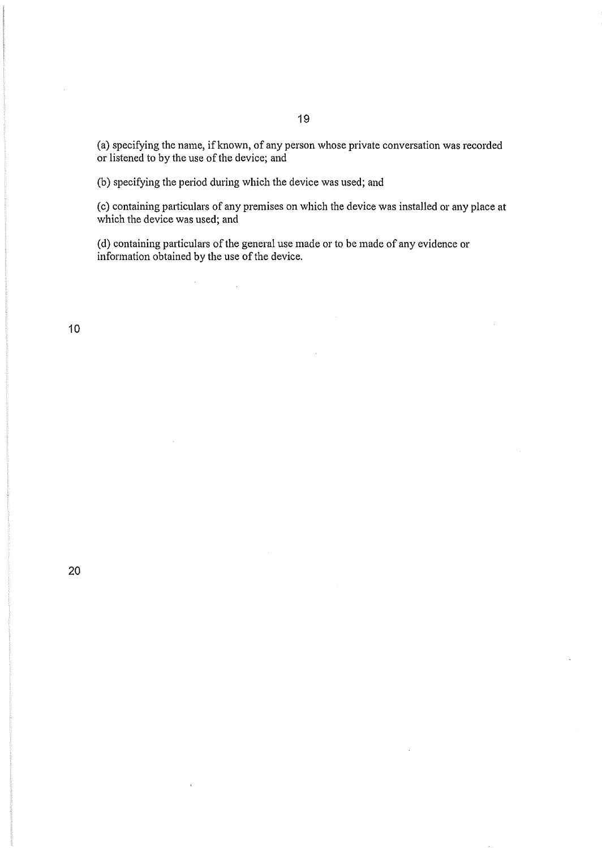(a) specifying the name, if known, of any person whose private conversation was recorded or listened to by the use of the device; and

(b) specifying the period during which the device was used; and

 $\label{eq:2.1} \frac{1}{\sqrt{2}}\int_{\mathbb{R}^3}\frac{1}{\sqrt{2}}\left(\frac{1}{\sqrt{2}}\right)^2\left(\frac{1}{\sqrt{2}}\right)^2\left(\frac{1}{\sqrt{2}}\right)^2\left(\frac{1}{\sqrt{2}}\right)^2\left(\frac{1}{\sqrt{2}}\right)^2.$ 

 $\bar{1}$ 

(c) containing particulars of any premises on which the device was installed or any place at which the device was used; and

(d) containing particulars of the general use made or to be made of any evidence or information obtained by the use of the device.

10

 $\bar{z}$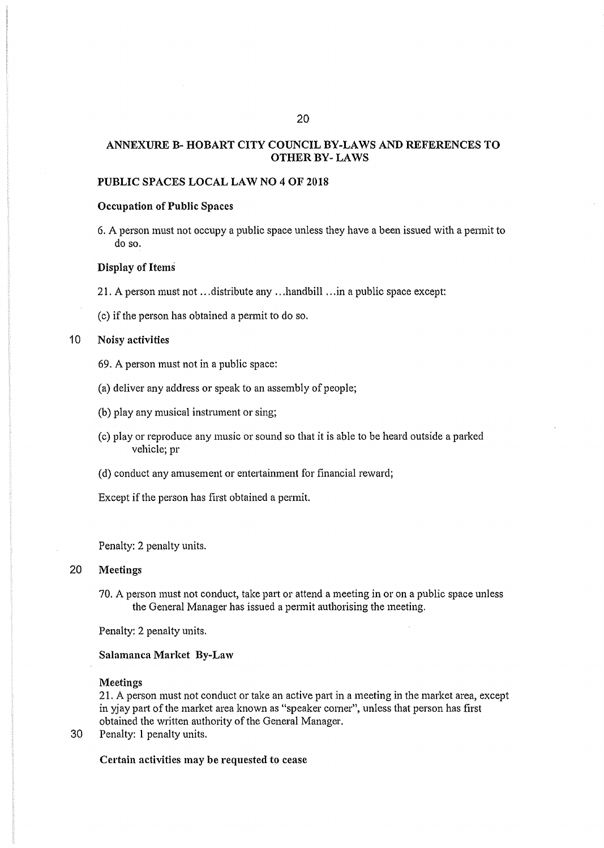# ANNEXURE B- HOBART CITY COUNCIL BY-LAWS AND REFERENCES TO OTHER BY- LAWS

## PUBLIC SPACES LOCAL LAW NO 4 OF 2018

## Occupation of Public Spaces

6. A person must not occupy a public space unless they have a been issued with a pennit to do so.

#### Display of Items

- 21. A person must not ... distribute any ... handbill ... in a public space except:
- (c) if the person has obtained a pennit to do so.

### 10 Noisy activities

- 69. A person must not in a public space:
- (a) deliver any address or speak to an assembly of people;
- (b) play any musical instrument or sing;
- (c) play or reproduce any music or sound so that it is able to be heard outside a parked vehicle; pr
- (d) conduct any amusement or entettainment for financial reward;

Except if the person has first obtained a permit.

Penalty: 2 penalty units.

## 20 Meetings

70. A person must not conduct, take part or attend a meeting in or on a public space unless the General Manager has issued a permit authorising the meeting.

Penalty: 2 penalty units.

#### Salamanca Market By-Law

#### Meetings

21. A person must not conduct or take an active part in a meeting in the market area, except in yjay part of the market area known as "speaker corner", unless that person has first obtained the written authority of the General Manager.

30 Penalty: 1 penalty units.

Certain activities may be requested to cease